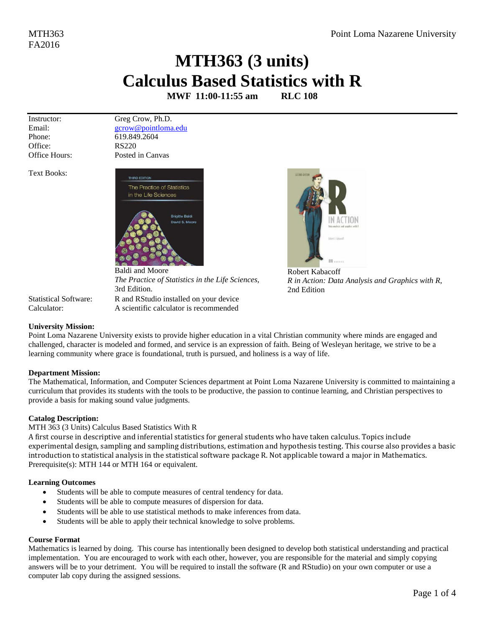## **MTH363 (3 units) Calculus Based Statistics with R**

**MWF 11:00-11:55 am RLC 108**

Instructor: Email: Phone: Office: Office Hours: Greg Crow, Ph.D. [gcrow@pointloma.edu](mailto:gcrow@pointloma.edu) 619.849.2604 RS220 Posted in Canvas

THIRD EDITION

Text Books:



Baldi and Moore *The Practice of Statistics in the Life Sciences,* 3rd Edition. Statistical Software: R and RStudio installed on your device Calculator: A scientific calculator is recommended



[Robert Kabacoff](https://www.amazon.com/Robert-Kabacoff/e/B003VO8EG4/ref=dp_byline_cont_book_1) *R in Action: Data Analysis and Graphics with R*, 2nd Edition

### **University Mission:**

Point Loma Nazarene University exists to provide higher education in a vital Christian community where minds are engaged and challenged, character is modeled and formed, and service is an expression of faith. Being of Wesleyan heritage, we strive to be a learning community where grace is foundational, truth is pursued, and holiness is a way of life.

### **Department Mission:**

The Mathematical, Information, and Computer Sciences department at Point Loma Nazarene University is committed to maintaining a curriculum that provides its students with the tools to be productive, the passion to continue learning, and Christian perspectives to provide a basis for making sound value judgments.

### **Catalog Description:**

#### MTH 363 (3 Units) Calculus Based Statistics With R

A first course in descriptive and inferential statistics for general students who have taken calculus. Topics include experimental design, sampling and sampling distributions, estimation and hypothesis testing. This course also provides a basic introduction to statistical analysis in the statistical software package R. Not applicable toward a major in Mathematics. Prerequisite(s)[: MTH 144](http://catalog.pointloma.edu/content.php?filter%5B27%5D=MTH&filter%5B29%5D=363&filter%5Bcourse_type%5D=-1&filter%5Bkeyword%5D=&filter%5B32%5D=1&filter%5Bcpage%5D=1&cur_cat_oid=24&expand=&navoid=1590&search_database=Filter#tt1159) o[r MTH 164](http://catalog.pointloma.edu/content.php?filter%5B27%5D=MTH&filter%5B29%5D=363&filter%5Bcourse_type%5D=-1&filter%5Bkeyword%5D=&filter%5B32%5D=1&filter%5Bcpage%5D=1&cur_cat_oid=24&expand=&navoid=1590&search_database=Filter#tt237) or equivalent.

#### **Learning Outcomes**

- Students will be able to compute measures of central tendency for data.
- Students will be able to compute measures of dispersion for data.
- Students will be able to use statistical methods to make inferences from data.
- Students will be able to apply their technical knowledge to solve problems.

#### **Course Format**

Mathematics is learned by doing. This course has intentionally been designed to develop both statistical understanding and practical implementation. You are encouraged to work with each other, however, you are responsible for the material and simply copying answers will be to your detriment. You will be required to install the software (R and RStudio) on your own computer or use a computer lab copy during the assigned sessions.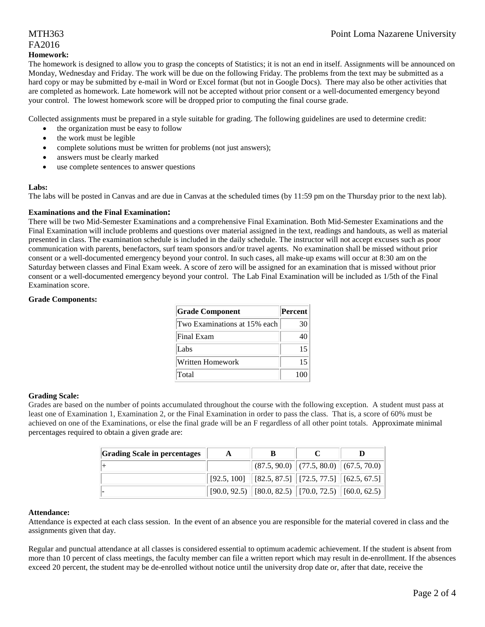## MTH363 Point Loma Nazarene University

## FA2016

#### **Homework:**

The homework is designed to allow you to grasp the concepts of Statistics; it is not an end in itself. Assignments will be announced on Monday, Wednesday and Friday. The work will be due on the following Friday. The problems from the text may be submitted as a hard copy or may be submitted by e-mail in Word or Excel format (but not in Google Docs). There may also be other activities that are completed as homework. Late homework will not be accepted without prior consent or a well-documented emergency beyond your control. The lowest homework score will be dropped prior to computing the final course grade.

Collected assignments must be prepared in a style suitable for grading. The following guidelines are used to determine credit:

- the organization must be easy to follow
- the work must be legible
- complete solutions must be written for problems (not just answers);
- answers must be clearly marked
- use complete sentences to answer questions

#### **Labs:**

The labs will be posted in Canvas and are due in Canvas at the scheduled times (by 11:59 pm on the Thursday prior to the next lab).

#### **Examinations and the Final Examination:**

There will be two Mid-Semester Examinations and a comprehensive Final Examination. Both Mid-Semester Examinations and the Final Examination will include problems and questions over material assigned in the text, readings and handouts, as well as material presented in class. The examination schedule is included in the daily schedule. The instructor will not accept excuses such as poor communication with parents, benefactors, surf team sponsors and/or travel agents. No examination shall be missed without prior consent or a well-documented emergency beyond your control. In such cases, all make-up exams will occur at 8:30 am on the Saturday between classes and Final Exam week. A score of zero will be assigned for an examination that is missed without prior consent or a well-documented emergency beyond your control. The Lab Final Examination will be included as 1/5th of the Final Examination score.

#### **Grade Components:**

| <b>Grade Component</b>       | <b>Percent</b> |
|------------------------------|----------------|
| Two Examinations at 15% each | 30             |
| Final Exam                   | 40             |
| Labs                         | 15             |
| Written Homework             | 15             |
| Total                        | 100            |

#### **Grading Scale:**

Grades are based on the number of points accumulated throughout the course with the following exception. A student must pass at least one of Examination 1, Examination 2, or the Final Examination in order to pass the class. That is, a score of 60% must be achieved on one of the Examinations, or else the final grade will be an F regardless of all other point totals. Approximate minimal percentages required to obtain a given grade are:

| <b>Grading Scale in percentages</b> | A | B                                                           |  |
|-------------------------------------|---|-------------------------------------------------------------|--|
|                                     |   | $\ $ (87.5, 90.0) $\ $ (77.5, 80.0) $\ $ (67.5, 70.0)       |  |
|                                     |   | $[92.5, 100]$ $[82.5, 87.5]$ $[72.5, 77.5]$ $[62.5, 67.5]$  |  |
|                                     |   | $[90.0, 92.5)$ $[80.0, 82.5)$ $[70.0, 72.5)$ $[60.0, 62.5)$ |  |

#### **Attendance:**

Attendance is expected at each class session. In the event of an absence you are responsible for the material covered in class and the assignments given that day.

Regular and punctual attendance at all classes is considered essential to optimum academic achievement. If the student is absent from more than 10 percent of class meetings, the faculty member can file a written report which may result in de-enrollment. If the absences exceed 20 percent, the student may be de-enrolled without notice until the university drop date or, after that date, receive the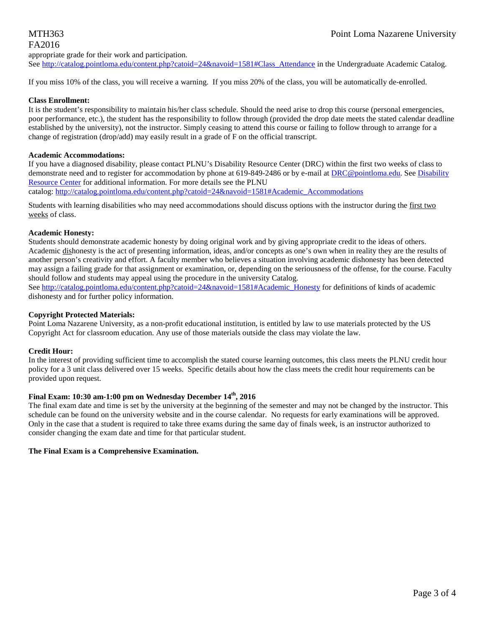## FA2016

appropriate grade for their work and participation.

See [http://catalog.pointloma.edu/content.php?catoid=24&navoid=1581#Class\\_Attendance](http://catalog.pointloma.edu/content.php?catoid=24&navoid=1581#Class_Attendance) in the Undergraduate Academic Catalog.

If you miss 10% of the class, you will receive a warning. If you miss 20% of the class, you will be automatically de-enrolled.

#### **Class Enrollment:**

It is the student's responsibility to maintain his/her class schedule. Should the need arise to drop this course (personal emergencies, poor performance, etc.), the student has the responsibility to follow through (provided the drop date meets the stated calendar deadline established by the university), not the instructor. Simply ceasing to attend this course or failing to follow through to arrange for a change of registration (drop/add) may easily result in a grade of F on the official transcript.

#### **Academic Accommodations:**

If you have a diagnosed disability, please contact PLNU's Disability Resource Center (DRC) within the first two weeks of class to demonstrate need and to register for accommodation by phone at 619-849-2486 or by e-mail at [DRC@pointloma.edu.](mailto:DRC@pointloma.edu) Se[e Disability](http://www.pointloma.edu/experience/offices/administrative-offices/academic-advising-office/disability-resource-center)  [Resource Center](http://www.pointloma.edu/experience/offices/administrative-offices/academic-advising-office/disability-resource-center) for additional information. For more details see the PLNU

catalog: [http://catalog.pointloma.edu/content.php?catoid=24&navoid=1581#Academic\\_Accommodations](http://catalog.pointloma.edu/content.php?catoid=24&navoid=1581#Academic_Accommodations) 

Students with learning disabilities who may need accommodations should discuss options with the instructor during the first two weeks of class.

#### **Academic Honesty:**

Students should demonstrate academic honesty by doing original work and by giving appropriate credit to the ideas of others. Academic dishonesty is the act of presenting information, ideas, and/or concepts as one's own when in reality they are the results of another person's creativity and effort. A faculty member who believes a situation involving academic dishonesty has been detected may assign a failing grade for that assignment or examination, or, depending on the seriousness of the offense, for the course. Faculty should follow and students may appeal using the procedure in the university Catalog.

See [http://catalog.pointloma.edu/content.php?catoid=24&navoid=1581#Academic\\_Honesty](http://catalog.pointloma.edu/content.php?catoid=24&navoid=1581#Academic_Honesty) for definitions of kinds of academic dishonesty and for further policy information.

#### **Copyright Protected Materials:**

Point Loma Nazarene University, as a non-profit educational institution, is entitled by law to use materials protected by the US Copyright Act for classroom education. Any use of those materials outside the class may violate the law.

#### **Credit Hour:**

In the interest of providing sufficient time to accomplish the stated course learning outcomes, this class meets the PLNU credit hour policy for a 3 unit class delivered over 15 weeks. Specific details about how the class meets the credit hour requirements can be provided upon request.

#### **Final Exam: 10:30 am-1:00 pm on Wednesday December 14th, 2016**

The final exam date and time is set by the university at the beginning of the semester and may not be changed by the instructor. This schedule can be found on the university website and in the course calendar. No requests for early examinations will be approved. Only in the case that a student is required to take three exams during the same day of finals week, is an instructor authorized to consider changing the exam date and time for that particular student.

#### **The Final Exam is a Comprehensive Examination.**